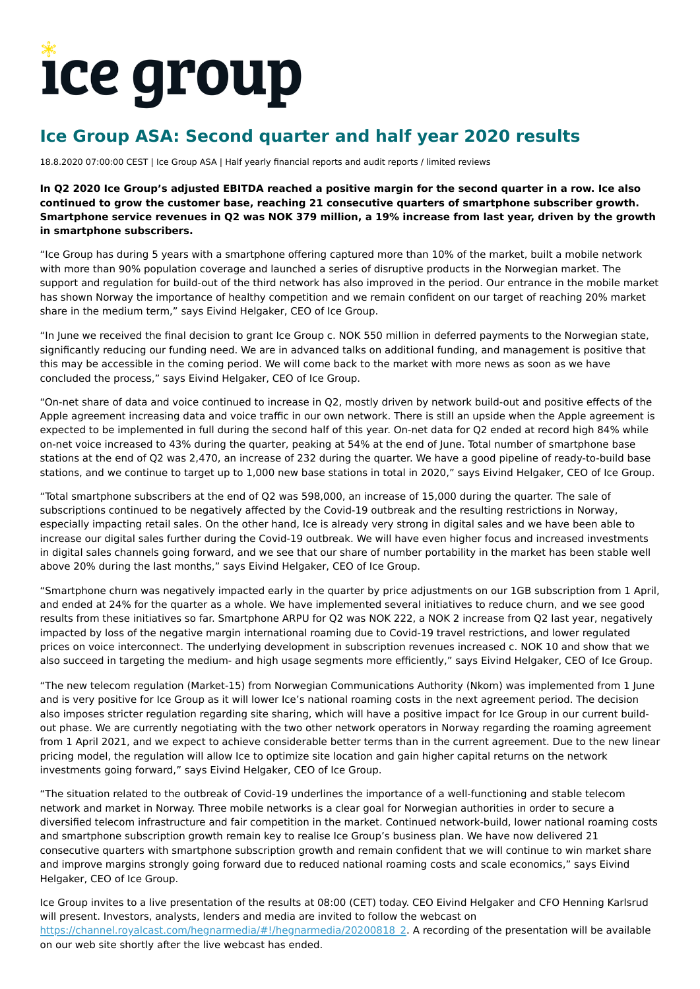# ice group

## **Ice Group ASA: Second quarter and half year 2020 results**

18.8.2020 07:00:00 CEST | Ice Group ASA | Half yearly financial reports and audit reports / limited reviews

**In Q2 2020 Ice Group's adjusted EBITDA reached a positive margin for the second quarter in a row. Ice also continued to grow the customer base, reaching 21 consecutive quarters of smartphone subscriber growth. Smartphone service revenues in Q2 was NOK 379 million, a 19% increase from last year, driven by the growth in smartphone subscribers.**

"Ice Group has during 5 years with a smartphone offering captured more than 10% of the market, built a mobile network with more than 90% population coverage and launched a series of disruptive products in the Norwegian market. The support and regulation for build-out of the third network has also improved in the period. Our entrance in the mobile market has shown Norway the importance of healthy competition and we remain confident on our target of reaching 20% market share in the medium term," says Eivind Helgaker, CEO of Ice Group.

"In June we received the final decision to grant Ice Group c. NOK 550 million in deferred payments to the Norwegian state, significantly reducing our funding need. We are in advanced talks on additional funding, and management is positive that this may be accessible in the coming period. We will come back to the market with more news as soon as we have concluded the process," says Eivind Helgaker, CEO of Ice Group.

"On-net share of data and voice continued to increase in Q2, mostly driven by network build-out and positive effects of the Apple agreement increasing data and voice traffic in our own network. There is still an upside when the Apple agreement is expected to be implemented in full during the second half of this year. On-net data for Q2 ended at record high 84% while on-net voice increased to 43% during the quarter, peaking at 54% at the end of June. Total number of smartphone base stations at the end of Q2 was 2,470, an increase of 232 during the quarter. We have a good pipeline of ready-to-build base stations, and we continue to target up to 1,000 new base stations in total in 2020," says Eivind Helgaker, CEO of Ice Group.

"Total smartphone subscribers at the end of Q2 was 598,000, an increase of 15,000 during the quarter. The sale of subscriptions continued to be negatively affected by the Covid-19 outbreak and the resulting restrictions in Norway, especially impacting retail sales. On the other hand, Ice is already very strong in digital sales and we have been able to increase our digital sales further during the Covid-19 outbreak. We will have even higher focus and increased investments in digital sales channels going forward, and we see that our share of number portability in the market has been stable well above 20% during the last months," says Eivind Helgaker, CEO of Ice Group.

"Smartphone churn was negatively impacted early in the quarter by price adjustments on our 1GB subscription from 1 April, and ended at 24% for the quarter as a whole. We have implemented several initiatives to reduce churn, and we see good results from these initiatives so far. Smartphone ARPU for Q2 was NOK 222, a NOK 2 increase from Q2 last year, negatively impacted by loss of the negative margin international roaming due to Covid-19 travel restrictions, and lower regulated prices on voice interconnect. The underlying development in subscription revenues increased c. NOK 10 and show that we also succeed in targeting the medium- and high usage segments more efficiently," says Eivind Helgaker, CEO of Ice Group.

"The new telecom regulation (Market-15) from Norwegian Communications Authority (Nkom) was implemented from 1 June and is very positive for Ice Group as it will lower Ice's national roaming costs in the next agreement period. The decision also imposes stricter regulation regarding site sharing, which will have a positive impact for Ice Group in our current buildout phase. We are currently negotiating with the two other network operators in Norway regarding the roaming agreement from 1 April 2021, and we expect to achieve considerable better terms than in the current agreement. Due to the new linear pricing model, the regulation will allow Ice to optimize site location and gain higher capital returns on the network investments going forward," says Eivind Helgaker, CEO of Ice Group.

"The situation related to the outbreak of Covid-19 underlines the importance of a well-functioning and stable telecom network and market in Norway. Three mobile networks is a clear goal for Norwegian authorities in order to secure a diversified telecom infrastructure and fair competition in the market. Continued network-build, lower national roaming costs and smartphone subscription growth remain key to realise Ice Group's business plan. We have now delivered 21 consecutive quarters with smartphone subscription growth and remain confident that we will continue to win market share and improve margins strongly going forward due to reduced national roaming costs and scale economics," says Eivind Helgaker, CEO of Ice Group.

Ice Group invites to a live presentation of the results at 08:00 (CET) today. CEO Eivind Helgaker and CFO Henning Karlsrud will present. Investors, analysts, lenders and media are invited to follow the webcast on [https://channel.royalcast.com/hegnarmedia/#!/hegnarmedia/20200818\\_2.](https://channel.royalcast.com/hegnarmedia/#!/hegnarmedia/20200818_2) A recording of the presentation will be available on our web site shortly after the live webcast has ended.